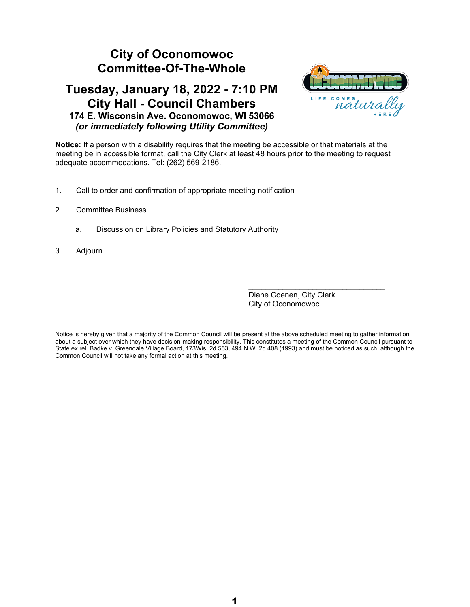#### **City of Oconomowoc Committee-Of-The-Whole**

#### **Tuesday, January 18, 2022 - 7:10 PM City Hall - Council Chambers 174 E. Wisconsin Ave. Oconomowoc, WI 53066** *(or immediately following Utility Committee)*



**Notice:** If a person with a disability requires that the meeting be accessible or that materials at the meeting be in accessible format, call the City Clerk at least 48 hours prior to the meeting to request adequate accommodations. Tel: (262) 569-2186.

- 1. Call to order and confirmation of appropriate meeting notification
- 2. Committee Business
	- a. Discussion on Library Policies and Statutory Authority
- 3. Adjourn

 $\mathcal{L}_\text{max}$  , and the set of the set of the set of the set of the set of the set of the set of the set of the set of the set of the set of the set of the set of the set of the set of the set of the set of the set of the Diane Coenen, City Clerk City of Oconomowoc

Notice is hereby given that a majority of the Common Council will be present at the above scheduled meeting to gather information about a subject over which they have decision-making responsibility. This constitutes a meeting of the Common Council pursuant to State ex rel. Badke v. Greendale Village Board, 173Wis. 2d 553, 494 N.W. 2d 408 (1993) and must be noticed as such, although the Common Council will not take any formal action at this meeting.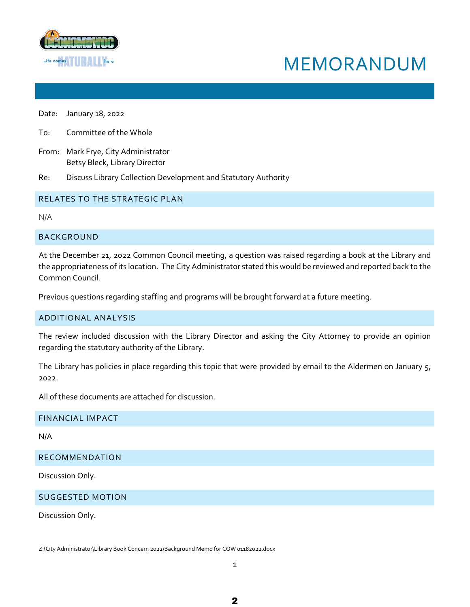

# MEMORANDUM

Date: January 18, 2022

To: Committee of the Whole

From: Mark Frye, City Administrator Betsy Bleck, Library Director

Re: Discuss Library Collection Development and Statutory Authority

#### RELATES TO THE STRATEGIC PLAN

N/A

#### BACKGROUND

At the December 21, 2022 Common Council meeting, a question was raised regarding a book at the Library and the appropriateness of its location. The City Administrator stated this would be reviewed and reported back to the Common Council.

Previous questions regarding staffing and programs will be brought forward at a future meeting.

#### ADDITIONAL ANALYSIS

The review included discussion with the Library Director and asking the City Attorney to provide an opinion regarding the statutory authority of the Library.

The Library has policies in place regarding this topic that were provided by email to the Aldermen on January 5, 2022.

All of these documents are attached for discussion.

#### FINANCIAL IMPACT

N/A

RECOMMENDATION

Discussion Only.

SUGGESTED MOTION

Discussion Only.

Z:\City Administrator\Library Book Concern 2022\Background Memo for COW 01182022.docx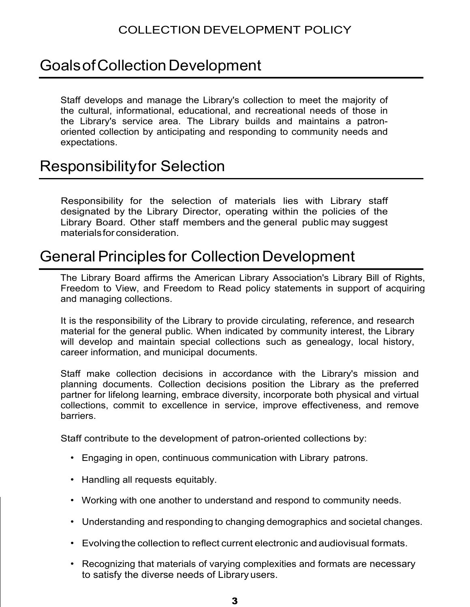### Goals of Collection Development

Staff develops and manage the Library's collection to meet the majority of the cultural, informational, educational, and recreational needs of those in the Library's service area. The Library builds and maintains a patronoriented collection by anticipating and responding to community needs and expectations.

### Responsibilityfor Selection

Responsibility for the selection of materials lies with Library staff designated by the Library Director, operating within the policies of the Library Board. Other staff members and the general public may suggest materialsfor consideration.

### **General Principles for Collection Development**

The Library Board affirms the American Library Association's Library Bill of Rights, Freedom to View, and Freedom to Read policy statements in support of acquiring and managing collections.

It is the responsibility of the Library to provide circulating, reference, and research material for the general public. When indicated by community interest, the Library will develop and maintain special collections such as genealogy, local history, career information, and municipal documents.

Staff make collection decisions in accordance with the Library's mission and planning documents. Collection decisions position the Library as the preferred partner for lifelong learning, embrace diversity, incorporate both physical and virtual collections, commit to excellence in service, improve effectiveness, and remove barriers.

Staff contribute to the development of patron-oriented collections by:

- Engaging in open, continuous communication with Library patrons.
- Handling all requests equitably.
- Working with one another to understand and respond to community needs.
- Understanding and responding to changing demographics and societal changes.
- Evolvingthe collection to reflect current electronic and audiovisual formats.
- Recognizing that materials of varying complexities and formats are necessary to satisfy the diverse needs of Library users.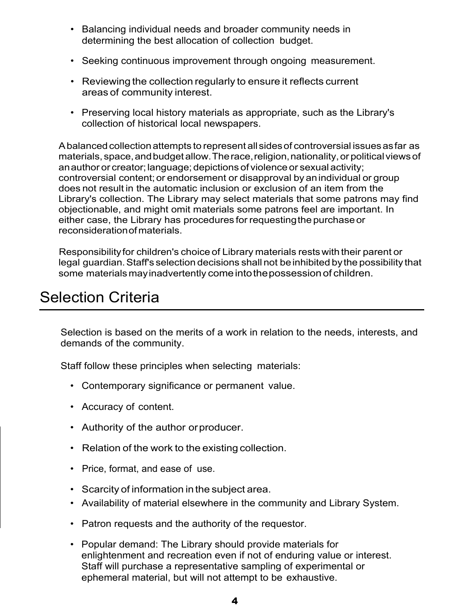- Balancing individual needs and broader community needs in determining the best allocation of collection budget.
- Seeking continuous improvement through ongoing measurement.
- Reviewing the collection regularly to ensure it reflects current areas of community interest.
- Preserving local history materials as appropriate, such as the Library's collection of historical local newspapers.

Abalancedcollectionattempts to represent allsidesof controversial issuesasfar as materials, space,andbudgetallow.Therace,religion,nationality,or politicalviewsof an author or creator; language; depictions of violence or sexual activity; controversial content; or endorsement or disapproval by an individual or group does not result in the automatic inclusion or exclusion of an item from the Library's collection. The Library may select materials that some patrons may find objectionable, and might omit materials some patrons feel are important. In either case, the Library has procedures for requestingthe purchaseor reconsiderationofmaterials.

Responsibilityfor children's choice of Library materials restswith their parent or legal guardian.Staff's selection decisions shall not beinhibited bythe possibility that some materials may inadvertently come into the possession of children.

# Selection Criteria

Selection is based on the merits of a work in relation to the needs, interests, and demands of the community.

Staff follow these principles when selecting materials:

- Contemporary significance or permanent value.
- Accuracy of content.
- Authority of the author orproducer.
- Relation of the work to the existing collection.
- Price, format, and ease of use.
- Scarcity of information in the subject area.
- Availability of material elsewhere in the community and Library System.
- Patron requests and the authority of the requestor.
- Popular demand: The Library should provide materials for enlightenment and recreation even if not of enduring value or interest. Staff will purchase a representative sampling of experimental or ephemeral material, but will not attempt to be exhaustive.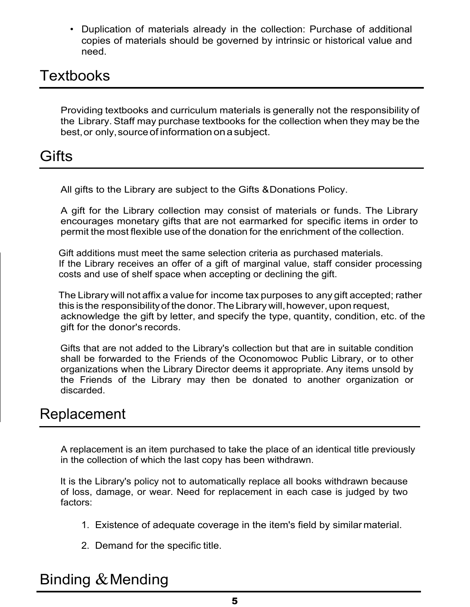• Duplication of materials already in the collection: Purchase of additional copies of materials should be governed by intrinsic or historical value and need.

### **Textbooks**

Providing textbooks and curriculum materials is generally not the responsibility of the Library. Staff may purchase textbooks for the collection when they may be the best, or only, source of information on a subject.

### Gifts

All gifts to the Library are subject to the Gifts &Donations Policy.

A gift for the Library collection may consist of materials or funds. The Library encourages monetary gifts that are not earmarked for specific items in order to permit the most flexible use of the donation for the enrichment of the collection.

Gift additions must meet the same selection criteria as purchased materials. If the Library receives an offer of a gift of marginal value, staff consider processing costs and use of shelf space when accepting or declining the gift.

The Library will not affix a value for income tax purposes to any gift accepted; rather this is the responsibility of the donor. The Library will, however, upon request, acknowledge the gift by letter, and specify the type, quantity, condition, etc. of the gift for the donor's records.

Gifts that are not added to the Library's collection but that are in suitable condition shall be forwarded to the Friends of the Oconomowoc Public Library, or to other organizations when the Library Director deems it appropriate. Any items unsold by the Friends of the Library may then be donated to another organization or discarded.

### Replacement

A replacement is an item purchased to take the place of an identical title previously in the collection of which the last copy has been withdrawn.

It is the Library's policy not to automatically replace all books withdrawn because of loss, damage, or wear. Need for replacement in each case is judged by two factors:

- 1. Existence of adequate coverage in the item's field by similar material.
- 2. Demand for the specific title.

# Binding  $&$  Mending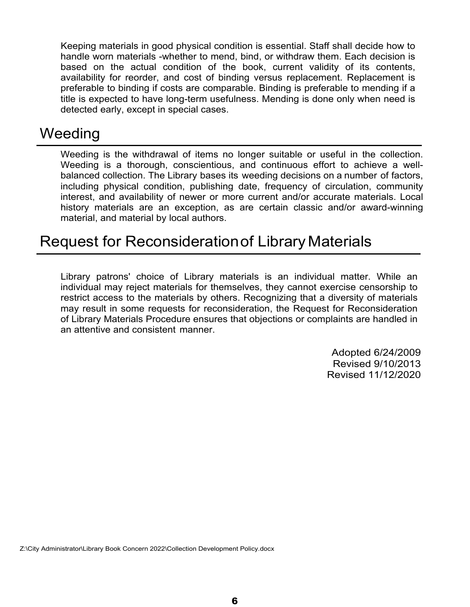Keeping materials in good physical condition is essential. Staff shall decide how to handle worn materials -whether to mend, bind, or withdraw them. Each decision is based on the actual condition of the book, current validity of its contents, availability for reorder, and cost of binding versus replacement. Replacement is preferable to binding if costs are comparable. Binding is preferable to mending if a title is expected to have long-term usefulness. Mending is done only when need is detected early, except in special cases.

### **Weeding**

Weeding is the withdrawal of items no longer suitable or useful in the collection. Weeding is a thorough, conscientious, and continuous effort to achieve a wellbalanced collection. The Library bases its weeding decisions on a number of factors, including physical condition, publishing date, frequency of circulation, community interest, and availability of newer or more current and/or accurate materials. Local history materials are an exception, as are certain classic and/or award-winning material, and material by local authors.

# Request for Reconsiderationof Library Materials

Library patrons' choice of Library materials is an individual matter. While an individual may reject materials for themselves, they cannot exercise censorship to restrict access to the materials by others. Recognizing that a diversity of materials may result in some requests for reconsideration, the Request for Reconsideration of Library Materials Procedure ensures that objections or complaints are handled in an attentive and consistent manner.

> Adopted 6/24/2009 Revised 9/10/2013 Revised 11/12/2020

Z:\City Administrator\Library Book Concern 2022\Collection Development Policy.docx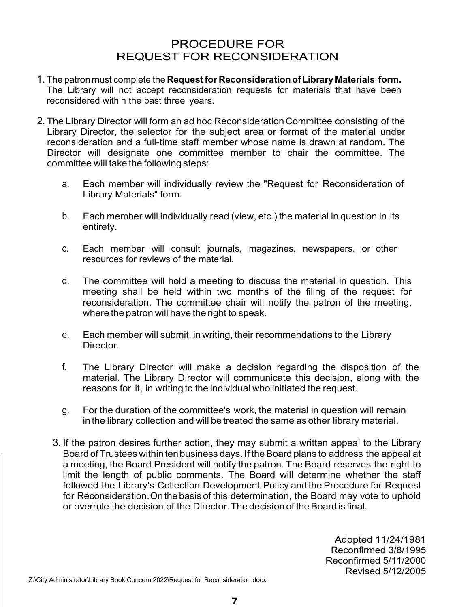#### PROCEDURE FOR REQUEST FOR RECONSIDERATION

- 1. The patron must complete the **Request for Reconsideration of Library Materials form.**  The Library will not accept reconsideration requests for materials that have been reconsidered within the past three years.
- 2. The Library Director will form an ad hoc Reconsideration Committee consisting of the Library Director, the selector for the subject area or format of the material under reconsideration and a full-time staff member whose name is drawn at random. The Director will designate one committee member to chair the committee. The committee will take the following steps:
	- a. Each member will individually review the "Request for Reconsideration of Library Materials" form.
	- b. Each member will individually read (view, etc.) the material in question in its entirety.
	- c. Each member will consult journals, magazines, newspapers, or other resources for reviews of the material.
	- d. The committee will hold a meeting to discuss the material in question. This meeting shall be held within two months of the filing of the request for reconsideration. The committee chair will notify the patron of the meeting, where the patron will have the right to speak.
	- e. Each member will submit, in writing, their recommendations to the Library **Director**
	- f. The Library Director will make a decision regarding the disposition of the material. The Library Director will communicate this decision, along with the reasons for it, in writing to the individual who initiated the request.
	- g. For the duration of the committee's work, the material in question will remain in the library collection and will be treated the same as other library material.
	- 3. If the patron desires further action, they may submit a written appeal to the Library Board of Trustees within ten business days. If the Board plans to address the appeal at a meeting, the Board President will notify the patron. The Board reserves the right to limit the length of public comments. The Board will determine whether the staff followed the Library's Collection Development Policy and the Procedure for Request for Reconsideration.Onthe basis of this determination, the Board may vote to uphold or overrule the decision of the Director. The decision of the Board is final

Adopted 11/24/1981 Reconfirmed 3/8/1995 Reconfirmed 5/11/2000 Revised 5/12/2005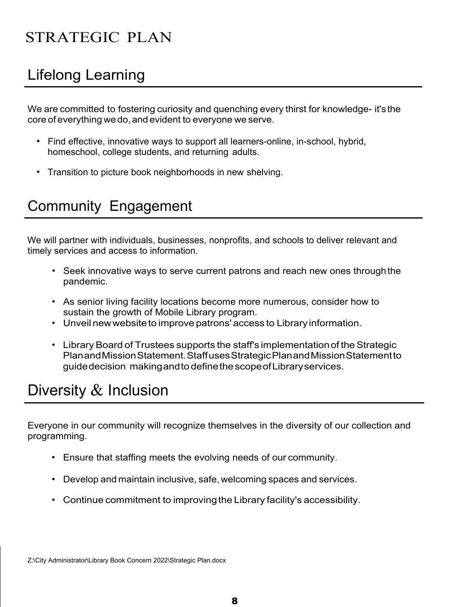# STRATEGIC PLAN

# Lifelong Learning

We are committed to fostering curiosity and quenching every thirst for knowledge- it's the core of everything we do, and evident to everyone we serve.

- Find effective, innovative ways to support all learners-online, in-school, hybrid, homeschool, college students, and returning adults.
- Transition to picture book neighborhoods in new shelving.

# Community Engagement

We will partner with individuals, businesses, nonprofits, and schools to deliver relevant and timely services and access to information.

- Seek innovative ways to serve current patrons and reach new ones through the pandemic.
- As senior living facility locations become more numerous, consider how to sustain the growth of Mobile Library program.
- Unveil new website to improve patrons' access to Library information.
- Library Board of Trustees supports the staff's implementation of the Strategic PlanandMissionStatement.StaffusesStrategicPlanandMissionStatementto guidedecision makingandto definethescopeofLibraryservices.

# Diversity & Inclusion

Everyone in our community will recognize themselves in the diversity of our collection and programming.

- Ensure that staffing meets the evolving needs of our community.
- Develop and maintain inclusive, safe, welcoming spaces and services.
- Continue commitment to improving the Library facility's accessibility.

Z:\City Administrator\Library Book Concern 2022\Strategic Plan.docx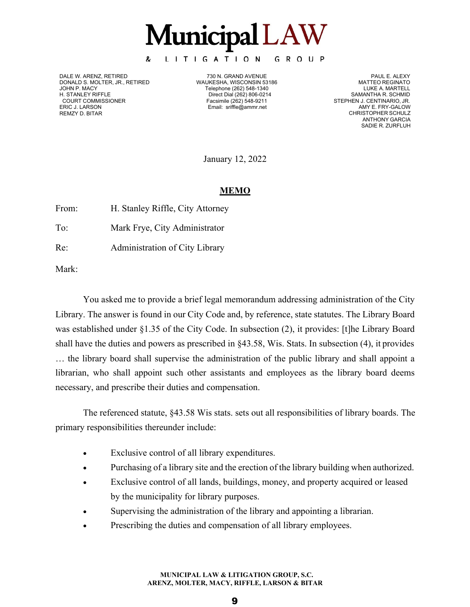**Municipal LAW** 

GROUP

LITIGATION

DALE W. ARENZ, RETIRED 730 N. GRAND AVENUE PAUL E. ALEXY DONALD S. MOLTER, JR., RETIRED WAUKESHA, WISCONSIN 53186 MATTEO REGINATO JOHN P. MACY Telephone (262) 548-1340 LUKE A. MARTELL

&

H. STANLEY RIFFLE **Direct Dial (262) 806-0214**<br>COURT COMMISSIONER **COURT COMMISSIONER** SAMALE RESIMILE (262) 548-9211 Email: [sriffle@ammr.net](mailto:sriffle@ammr.net)

STEPHEN J. CENTINARIO, JR.<br>AMY E. FRY-GALOW CHRISTOPHER SCHULZ ANTHONY GARCIA SADIE R. ZURFLUH

January 12, 2022

#### **MEMO**

| From: | H. Stanley Riffle, City Attorney |
|-------|----------------------------------|
| To:   | Mark Frye, City Administrator    |
| Re:   | Administration of City Library   |

Mark:

ERIC J. LARSON REMZY D. BITAR

You asked me to provide a brief legal memorandum addressing administration of the City Library. The answer is found in our City Code and, by reference, state statutes. The Library Board was established under §1.35 of the City Code. In subsection (2), it provides: [t]he Library Board shall have the duties and powers as prescribed in §43.58, Wis. Stats. In subsection (4), it provides … the library board shall supervise the administration of the public library and shall appoint a librarian, who shall appoint such other assistants and employees as the library board deems necessary, and prescribe their duties and compensation.

The referenced statute, §43.58 Wis stats. sets out all responsibilities of library boards. The primary responsibilities thereunder include:

- Exclusive control of all library expenditures.
- Purchasing of a library site and the erection of the library building when authorized.
- Exclusive control of all lands, buildings, money, and property acquired or leased by the municipality for library purposes.
- Supervising the administration of the library and appointing a librarian.
- Prescribing the duties and compensation of all library employees.

**MUNICIPAL LAW & LITIGATION GROUP, S.C. ARENZ, MOLTER, MACY, RIFFLE, LARSON & BITAR**